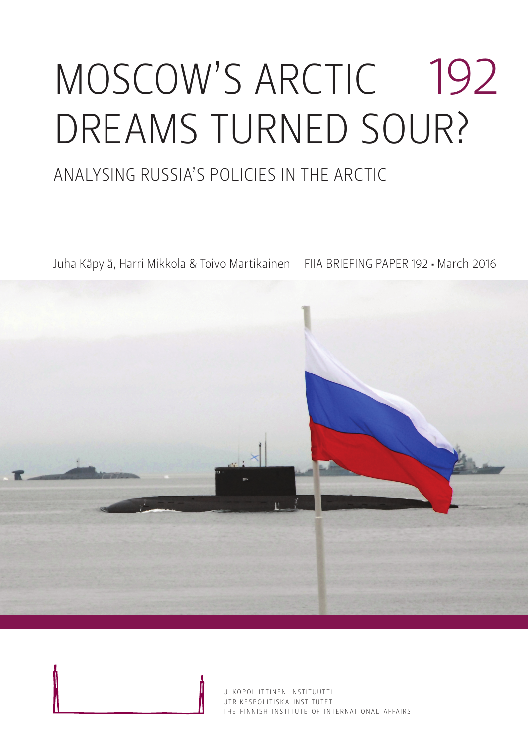# MOSCOW'S ARCTIC 192 DREAMS TURNED SOUR?

### ANALYSING RUSSIA'S POLICIES IN THE ARCTIC

Juha Käpylä, Harri Mikkola & Toivo Martikainen FIIA BRIEFING PAPER 192 • March 2016

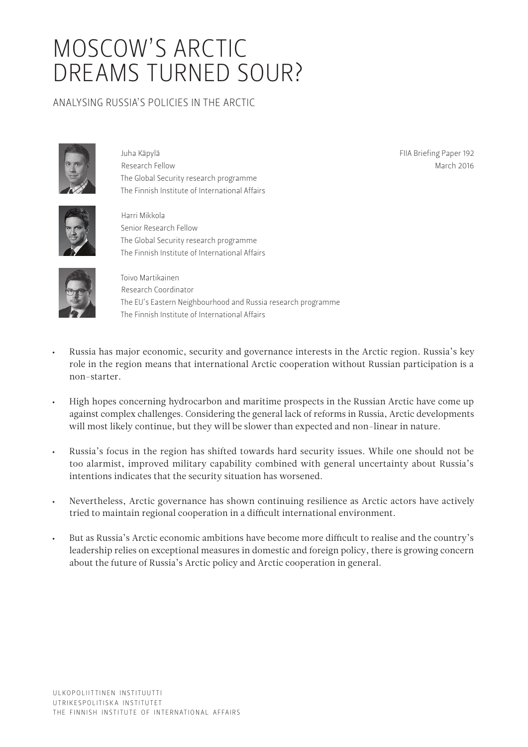## MOSCOW'S ARCTIC DREAMS TURNED SOUR?

#### ANALYSING RUSSIA'S POLICIES IN THE ARCTIC



Juha Käpylä Research Fellow The Global Security research programme The Finnish Institute of International Affairs

FIIA Briefing Paper 192 March 2016



Harri Mikkola Senior Research Fellow The Global Security research programme The Finnish Institute of International Affairs



Toivo Martikainen Research Coordinator The EU's Eastern Neighbourhood and Russia research programme The Finnish Institute of International Affairs

- Russia has major economic, security and governance interests in the Arctic region. Russia's key role in the region means that international Arctic cooperation without Russian participation is a non-starter.
- High hopes concerning hydrocarbon and maritime prospects in the Russian Arctic have come up against complex challenges. Considering the general lack of reforms in Russia, Arctic developments will most likely continue, but they will be slower than expected and non-linear in nature.
- Russia's focus in the region has shifted towards hard security issues. While one should not be too alarmist, improved military capability combined with general uncertainty about Russia's intentions indicates that the security situation has worsened.
- Nevertheless, Arctic governance has shown continuing resilience as Arctic actors have actively tried to maintain regional cooperation in a difficult international environment.
- But as Russia's Arctic economic ambitions have become more difficult to realise and the country's leadership relies on exceptional measures in domestic and foreign policy, there is growing concern about the future of Russia's Arctic policy and Arctic cooperation in general.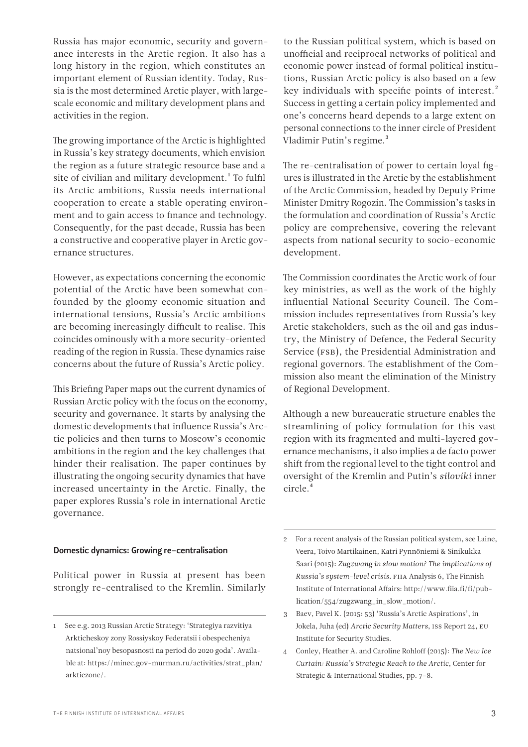Russia has major economic, security and governance interests in the Arctic region. It also has a long history in the region, which constitutes an important element of Russian identity. Today, Russia is the most determined Arctic player, with largescale economic and military development plans and activities in the region.

The growing importance of the Arctic is highlighted in Russia's key strategy documents, which envision the region as a future strategic resource base and a site of civilian and military development.<sup>1</sup> To fulfil its Arctic ambitions, Russia needs international cooperation to create a stable operating environment and to gain access to finance and technology. Consequently, for the past decade, Russia has been a constructive and cooperative player in Arctic governance structures.

However, as expectations concerning the economic potential of the Arctic have been somewhat confounded by the gloomy economic situation and international tensions, Russia's Arctic ambitions are becoming increasingly difficult to realise. This coincides ominously with a more security-oriented reading of the region in Russia. These dynamics raise concerns about the future of Russia's Arctic policy.

This Briefing Paper maps out the current dynamics of Russian Arctic policy with the focus on the economy, security and governance. It starts by analysing the domestic developments that influence Russia's Arctic policies and then turns to Moscow's economic ambitions in the region and the key challenges that hinder their realisation. The paper continues by illustrating the ongoing security dynamics that have increased uncertainty in the Arctic. Finally, the paper explores Russia's role in international Arctic governance.

#### Domestic dynamics: Growing re-centralisation

Political power in Russia at present has been strongly re-centralised to the Kremlin. Similarly to the Russian political system, which is based on unofficial and reciprocal networks of political and economic power instead of formal political institutions, Russian Arctic policy is also based on a few key individuals with specific points of interest.<sup>2</sup> Success in getting a certain policy implemented and one's concerns heard depends to a large extent on personal connections to the inner circle of President Vladimir Putin's regime.<sup>3</sup>

The re-centralisation of power to certain loyal figures is illustrated in the Arctic by the establishment of the Arctic Commission, headed by Deputy Prime Minister Dmitry Rogozin. The Commission's tasks in the formulation and coordination of Russia's Arctic policy are comprehensive, covering the relevant aspects from national security to socio-economic development.

The Commission coordinates the Arctic work of four key ministries, as well as the work of the highly influential National Security Council. The Commission includes representatives from Russia's key Arctic stakeholders, such as the oil and gas industry, the Ministry of Defence, the Federal Security Service (FSB), the Presidential Administration and regional governors. The establishment of the Commission also meant the elimination of the Ministry of Regional Development.

Although a new bureaucratic structure enables the streamlining of policy formulation for this vast region with its fragmented and multi-layered governance mechanisms, it also implies a de facto power shift from the regional level to the tight control and oversight of the Kremlin and Putin's *siloviki* inner circle.4

<sup>1</sup> See e.g. 2013 Russian Arctic Strategy: 'Strategiya razvitiya Arkticheskoy zony Rossiyskoy Federatsii i obespecheniya natsional'noy besopasnosti na period do 2020 goda'. Available at: [https://minec.gov-murman.ru/activities/strat\\_plan/](https://minec.gov-murman.ru/activities/strat_plan/arkticzone/) [arkticzone/](https://minec.gov-murman.ru/activities/strat_plan/arkticzone/).

<sup>2</sup> For a recent analysis of the Russian political system, see Laine, Veera, Toivo Martikainen, Katri Pynnöniemi & Sinikukka Saari (2015): *Zugzwang in slow motion? The implications of Russia's system-level crisis*. FIIA Analysis 6, The Finnish Institute of International Affairs: [http://www.fiia.fi/fi/pub](http://www.fiia.fi/fi/publication/554/zugzwang_in_slow_motion/)[lication/554/zugzwang\\_in\\_slow\\_motion/](http://www.fiia.fi/fi/publication/554/zugzwang_in_slow_motion/).

<sup>3</sup> Baev, Pavel K. (2015: 53) 'Russia's Arctic Aspirations', in Jokela, Juha (ed) *Arctic Security Matters*, ISS Report 24, EU Institute for Security Studies.

<sup>4</sup> Conley, Heather A. and Caroline Rohloff (2015): *The New Ice Curtain: Russia's Strategic Reach to the Arctic*, Center for Strategic & International Studies, pp. 7–8.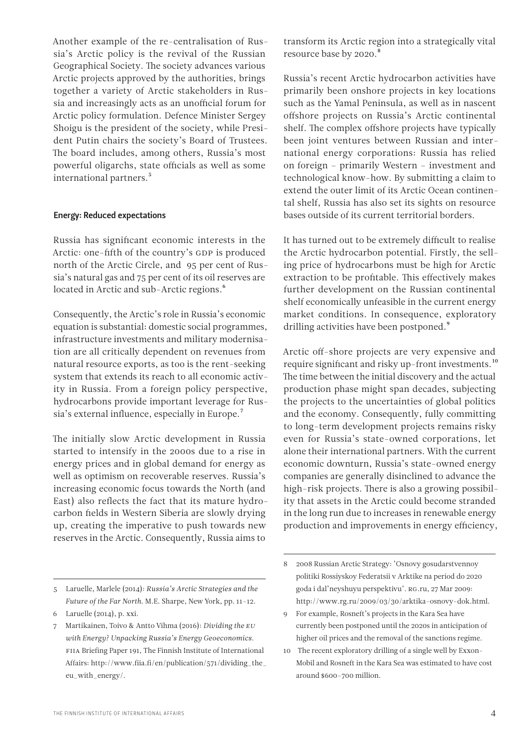Another example of the re-centralisation of Russia's Arctic policy is the revival of the Russian Geographical Society. The society advances various Arctic projects approved by the authorities, brings together a variety of Arctic stakeholders in Russia and increasingly acts as an unofficial forum for Arctic policy formulation. Defence Minister Sergey Shoigu is the president of the society, while President Putin chairs the society's Board of Trustees. The board includes, among others, Russia's most powerful oligarchs, state officials as well as some international partners.<sup>5</sup>

#### Energy: Reduced expectations

Russia has significant economic interests in the Arctic: one-fifth of the country's GDP is produced north of the Arctic Circle, and 95 per cent of Russia's natural gas and 75 per cent of its oil reserves are located in Arctic and sub-Arctic regions.<sup>6</sup>

Consequently, the Arctic's role in Russia's economic equation is substantial: domestic social programmes, infrastructure investments and military modernisation are all critically dependent on revenues from natural resource exports, as too is the rent-seeking system that extends its reach to all economic activity in Russia. From a foreign policy perspective, hydrocarbons provide important leverage for Russia's external influence, especially in Europe.7

The initially slow Arctic development in Russia started to intensify in the 2000s due to a rise in energy prices and in global demand for energy as well as optimism on recoverable reserves. Russia's increasing economic focus towards the North (and East) also reflects the fact that its mature hydrocarbon fields in Western Siberia are slowly drying up, creating the imperative to push towards new reserves in the Arctic. Consequently, Russia aims to

Russia's recent Arctic hydrocarbon activities have primarily been onshore projects in key locations such as the Yamal Peninsula, as well as in nascent offshore projects on Russia's Arctic continental shelf. The complex offshore projects have typically been joint ventures between Russian and international energy corporations: Russia has relied on foreign – primarily Western – investment and technological know-how. By submitting a claim to extend the outer limit of its Arctic Ocean continental shelf, Russia has also set its sights on resource bases outside of its current territorial borders.

It has turned out to be extremely difficult to realise the Arctic hydrocarbon potential. Firstly, the selling price of hydrocarbons must be high for Arctic extraction to be profitable. This effectively makes further development on the Russian continental shelf economically unfeasible in the current energy market conditions. In consequence, exploratory drilling activities have been postponed.<sup>9</sup>

Arctic off-shore projects are very expensive and require significant and risky up-front investments.10 The time between the initial discovery and the actual production phase might span decades, subjecting the projects to the uncertainties of global politics and the economy. Consequently, fully committing to long-term development projects remains risky even for Russia's state-owned corporations, let alone their international partners. With the current economic downturn, Russia's state-owned energy companies are generally disinclined to advance the high-risk projects. There is also a growing possibility that assets in the Arctic could become stranded in the long run due to increases in renewable energy production and improvements in energy efficiency,

<sup>5</sup> Laruelle, Marlele (2014): *Russia's Arctic Strategies and the Future of the Far North*. M.E. Sharpe, New York, pp. 11–12.

<sup>6</sup> Laruelle (2014), p. xxi.

<sup>7</sup> Martikainen, Toivo & Antto Vihma (2016): *Dividing the EU with Energy? Unpacking Russia's Energy Geoeconomics*. FIIA Briefing Paper 191, The Finnish Institute of International Affairs: [http://www.fiia.fi/en/publication/571/dividing\\_the\\_](http://www.fiia.fi/en/publication/571/dividing_the_eu_with_energy/) [eu\\_with\\_energy/](http://www.fiia.fi/en/publication/571/dividing_the_eu_with_energy/).

<sup>8 2008</sup> Russian Arctic Strategy: 'Osnovy gosudarstvennoy politiki Rossiyskoy Federatsii v Arktike na period do 2020 goda i dal'neyshuyu perspektivu'. RG.ru, 27 Mar 2009: <http://www.rg.ru/2009/03/30/arktika-osnovy-dok.html>.

<sup>9</sup> For example, Rosneft's projects in the Kara Sea have currently been postponed until the 2020s in anticipation of higher oil prices and the removal of the sanctions regime.

<sup>10</sup> The recent exploratory drilling of a single well by Exxon-Mobil and Rosneft in the Kara Sea was estimated to have cost around \$600–700 million.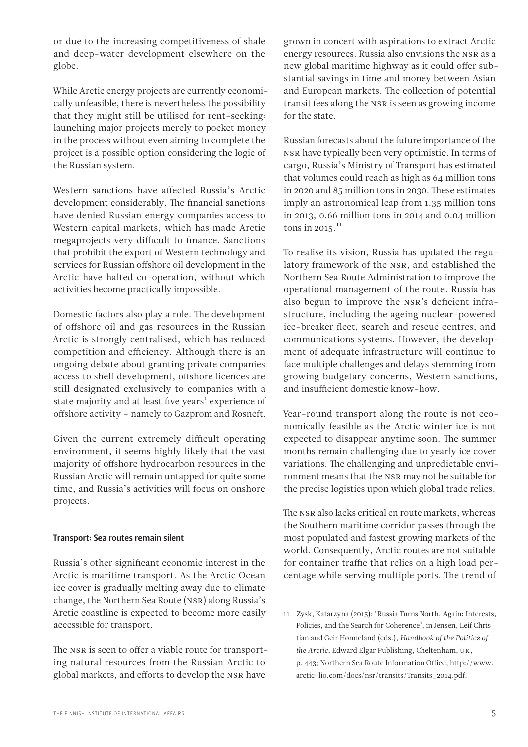or due to the increasing competitiveness of shale and deep-water development elsewhere on the globe.

While Arctic energy projects are currently economically unfeasible, there is nevertheless the possibility that they might still be utilised for rent-seeking: launching major projects merely to pocket money in the process without even aiming to complete the project is a possible option considering the logic of the Russian system.

Western sanctions have affected Russia's Arctic development considerably. The financial sanctions have denied Russian energy companies access to Western capital markets, which has made Arctic megaprojects very difficult to finance. Sanctions that prohibit the export of Western technology and services for Russian offshore oil development in the Arctic have halted co-operation, without which activities become practically impossible.

Domestic factors also play a role. The development of offshore oil and gas resources in the Russian Arctic is strongly centralised, which has reduced competition and efficiency. Although there is an ongoing debate about granting private companies access to shelf development, offshore licences are still designated exclusively to companies with a state majority and at least five years' experience of offshore activity – namely to Gazprom and Rosneft.

Given the current extremely difficult operating environment, it seems highly likely that the vast majority of offshore hydrocarbon resources in the Russian Arctic will remain untapped for quite some time, and Russia's activities will focus on onshore projects.

#### Transport: Sea routes remain silent

Russia's other significant economic interest in the Arctic is maritime transport. As the Arctic Ocean ice cover is gradually melting away due to climate change, the Northern Sea Route (NSR) along Russia's Arctic coastline is expected to become more easily accessible for transport.

The NSR is seen to offer a viable route for transporting natural resources from the Russian Arctic to global markets, and efforts to develop the NSR have

grown in concert with aspirations to extract Arctic energy resources. Russia also envisions the NSR as a new global maritime highway as it could offer substantial savings in time and money between Asian and European markets. The collection of potential transit fees along the NSR is seen as growing income for the state.

Russian forecasts about the future importance of the NSR have typically been very optimistic. In terms of cargo, Russia's Ministry of Transport has estimated that volumes could reach as high as 64 million tons in 2020 and 85 million tons in 2030. These estimates imply an astronomical leap from 1.35 million tons in 2013, 0.66 million tons in 2014 and 0.04 million tons in 2015. $^{11}$ 

To realise its vision, Russia has updated the regulatory framework of the NSR, and established the Northern Sea Route Administration to improve the operational management of the route. Russia has also begun to improve the NSR's deficient infrastructure, including the ageing nuclear-powered ice-breaker fleet, search and rescue centres, and communications systems. However, the development of adequate infrastructure will continue to face multiple challenges and delays stemming from growing budgetary concerns, Western sanctions, and insufficient domestic know-how.

Year-round transport along the route is not economically feasible as the Arctic winter ice is not expected to disappear anytime soon. The summer months remain challenging due to yearly ice cover variations. The challenging and unpredictable environment means that the NSR may not be suitable for the precise logistics upon which global trade relies.

The NSR also lacks critical en route markets, whereas the Southern maritime corridor passes through the most populated and fastest growing markets of the world. Consequently, Arctic routes are not suitable for container traffic that relies on a high load percentage while serving multiple ports. The trend of

<sup>11</sup> Zysk, Katarzyna (2015): 'Russia Turns North, Again: Interests, Policies, and the Search for Coherence', in Jensen, Leif Christian and Geir Hønneland (eds.), *Handbook of the Politics of the Arctic*, Edward Elgar Publishing, Cheltenham, UK, p. 443; Northern Sea Route Information Office, [http://www.](http://www.arctic-lio.com/docs/nsr/transits/Transits_2014.pdf) [arctic-lio.com/docs/nsr/transits/Transits\\_2014.pdf](http://www.arctic-lio.com/docs/nsr/transits/Transits_2014.pdf).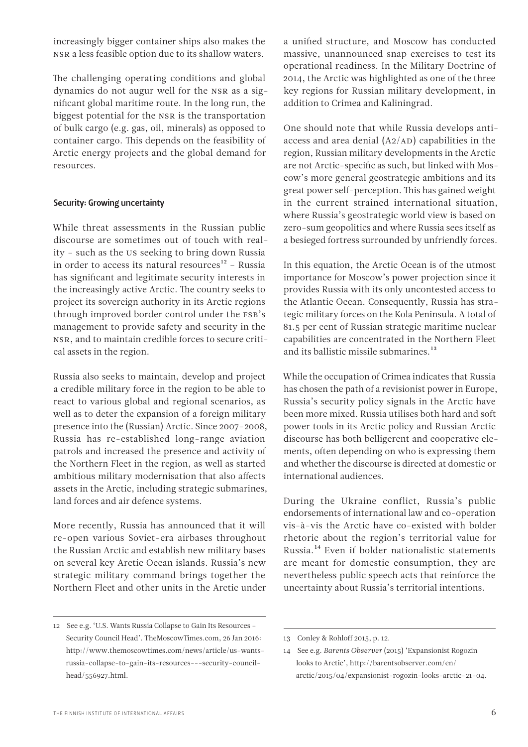increasingly bigger container ships also makes the NSR a less feasible option due to its shallow waters.

The challenging operating conditions and global dynamics do not augur well for the NSR as a significant global maritime route. In the long run, the biggest potential for the NSR is the transportation of bulk cargo (e.g. gas, oil, minerals) as opposed to container cargo. This depends on the feasibility of Arctic energy projects and the global demand for resources.

#### Security: Growing uncertainty

While threat assessments in the Russian public discourse are sometimes out of touch with reality – such as the US seeking to bring down Russia in order to access its natural resources $12$  – Russia has significant and legitimate security interests in the increasingly active Arctic. The country seeks to project its sovereign authority in its Arctic regions through improved border control under the FSB's management to provide safety and security in the NSR, and to maintain credible forces to secure critical assets in the region.

Russia also seeks to maintain, develop and project a credible military force in the region to be able to react to various global and regional scenarios, as well as to deter the expansion of a foreign military presence into the (Russian) Arctic. Since 2007–2008, Russia has re-established long-range aviation patrols and increased the presence and activity of the Northern Fleet in the region, as well as started ambitious military modernisation that also affects assets in the Arctic, including strategic submarines, land forces and air defence systems.

More recently, Russia has announced that it will re-open various Soviet-era airbases throughout the Russian Arctic and establish new military bases on several key Arctic Ocean islands. Russia's new strategic military command brings together the Northern Fleet and other units in the Arctic under a unified structure, and Moscow has conducted massive, unannounced snap exercises to test its operational readiness. In the Military Doctrine of 2014, the Arctic was highlighted as one of the three key regions for Russian military development, in addition to Crimea and Kaliningrad.

One should note that while Russia develops antiaccess and area denial (A2/AD) capabilities in the region, Russian military developments in the Arctic are not Arctic-specific as such, but linked with Moscow's more general geostrategic ambitions and its great power self-perception. This has gained weight in the current strained international situation, where Russia's geostrategic world view is based on zero-sum geopolitics and where Russia sees itself as a besieged fortress surrounded by unfriendly forces.

In this equation, the Arctic Ocean is of the utmost importance for Moscow's power projection since it provides Russia with its only uncontested access to the Atlantic Ocean. Consequently, Russia has strategic military forces on the Kola Peninsula. A total of 81.5 per cent of Russian strategic maritime nuclear capabilities are concentrated in the Northern Fleet and its ballistic missile submarines.<sup>13</sup>

While the occupation of Crimea indicates that Russia has chosen the path of a revisionist power in Europe, Russia's security policy signals in the Arctic have been more mixed. Russia utilises both hard and soft power tools in its Arctic policy and Russian Arctic discourse has both belligerent and cooperative elements, often depending on who is expressing them and whether the discourse is directed at domestic or international audiences.

During the Ukraine conflict, Russia's public endorsements of international law and co-operation vis-à-vis the Arctic have co-existed with bolder rhetoric about the region's territorial value for Russia.14 Even if bolder nationalistic statements are meant for domestic consumption, they are nevertheless public speech acts that reinforce the uncertainty about Russia's territorial intentions.

<sup>12</sup> See e.g. 'U.S. Wants Russia Collapse to Gain Its Resources – Security Council Head'. TheMoscowTimes.com, 26 Jan 2016: [http://www.themoscowtimes.com/news/article/us-wants](http://www.themoscowtimes.com/news/article/us-wants-russia-collapse-to-gain-its-resources---security-council-head/556927.html)[russia-collapse-to-gain-its-resources---security-council](http://www.themoscowtimes.com/news/article/us-wants-russia-collapse-to-gain-its-resources---security-council-head/556927.html)[head/556927.html.](http://www.themoscowtimes.com/news/article/us-wants-russia-collapse-to-gain-its-resources---security-council-head/556927.html)

<sup>13</sup> Conley & Rohloff 2015, p. 12.

<sup>14</sup> See e.g. *Barents Observer* (2015) 'Expansionist Rogozin looks to Arctic', [http://barentsobserver.com/en/](http://barentsobserver.com/en/arctic/2015/04/expansionist-rogozin-looks-arctic-21-04) [arctic/2015/04/expansionist-rogozin-looks-arctic-21-04](http://barentsobserver.com/en/arctic/2015/04/expansionist-rogozin-looks-arctic-21-04).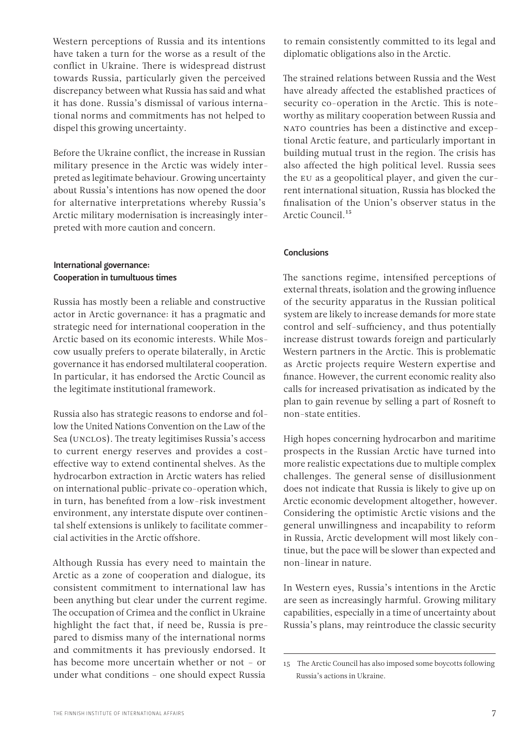Western perceptions of Russia and its intentions have taken a turn for the worse as a result of the conflict in Ukraine. There is widespread distrust towards Russia, particularly given the perceived discrepancy between what Russia has said and what it has done. Russia's dismissal of various international norms and commitments has not helped to dispel this growing uncertainty.

Before the Ukraine conflict, the increase in Russian military presence in the Arctic was widely interpreted as legitimate behaviour. Growing uncertainty about Russia's intentions has now opened the door for alternative interpretations whereby Russia's Arctic military modernisation is increasingly interpreted with more caution and concern.

#### International governance: Cooperation in tumultuous times

Russia has mostly been a reliable and constructive actor in Arctic governance: it has a pragmatic and strategic need for international cooperation in the Arctic based on its economic interests. While Moscow usually prefers to operate bilaterally, in Arctic governance it has endorsed multilateral cooperation. In particular, it has endorsed the Arctic Council as the legitimate institutional framework.

Russia also has strategic reasons to endorse and follow the United Nations Convention on the Law of the Sea (UNCLOS). The treaty legitimises Russia's access to current energy reserves and provides a costeffective way to extend continental shelves. As the hydrocarbon extraction in Arctic waters has relied on international public-private co-operation which, in turn, has benefited from a low-risk investment environment, any interstate dispute over continental shelf extensions is unlikely to facilitate commercial activities in the Arctic offshore.

Although Russia has every need to maintain the Arctic as a zone of cooperation and dialogue, its consistent commitment to international law has been anything but clear under the current regime. The occupation of Crimea and the conflict in Ukraine highlight the fact that, if need be, Russia is prepared to dismiss many of the international norms and commitments it has previously endorsed. It has become more uncertain whether or not – or under what conditions – one should expect Russia

to remain consistently committed to its legal and diplomatic obligations also in the Arctic.

The strained relations between Russia and the West have already affected the established practices of security co-operation in the Arctic. This is noteworthy as military cooperation between Russia and NATO countries has been a distinctive and exceptional Arctic feature, and particularly important in building mutual trust in the region. The crisis has also affected the high political level. Russia sees the EU as a geopolitical player, and given the current international situation, Russia has blocked the finalisation of the Union's observer status in the Arctic Council.<sup>15</sup>

#### Conclusions

The sanctions regime, intensified perceptions of external threats, isolation and the growing influence of the security apparatus in the Russian political system are likely to increase demands for more state control and self-sufficiency, and thus potentially increase distrust towards foreign and particularly Western partners in the Arctic. This is problematic as Arctic projects require Western expertise and finance. However, the current economic reality also calls for increased privatisation as indicated by the plan to gain revenue by selling a part of Rosneft to non-state entities.

High hopes concerning hydrocarbon and maritime prospects in the Russian Arctic have turned into more realistic expectations due to multiple complex challenges. The general sense of disillusionment does not indicate that Russia is likely to give up on Arctic economic development altogether, however. Considering the optimistic Arctic visions and the general unwillingness and incapability to reform in Russia, Arctic development will most likely continue, but the pace will be slower than expected and non-linear in nature.

In Western eyes, Russia's intentions in the Arctic are seen as increasingly harmful. Growing military capabilities, especially in a time of uncertainty about Russia's plans, may reintroduce the classic security

<sup>15</sup> The Arctic Council has also imposed some boycotts following Russia's actions in Ukraine.